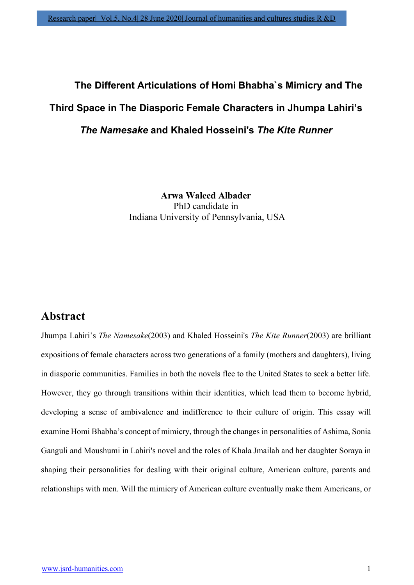# The Different Articulations of Homi Bhabha`s Mimicry and The Third Space in The Diasporic Female Characters in Jhumpa Lahiri's The Namesake and Khaled Hosseini's The Kite Runner

Arwa Waleed Albader PhD candidate in Indiana University of Pennsylvania, USA

# Abstract

Jhumpa Lahiri's The Namesake(2003) and Khaled Hosseini's The Kite Runner(2003) are brilliant expositions of female characters across two generations of a family (mothers and daughters), living in diasporic communities. Families in both the novels flee to the United States to seek a better life. However, they go through transitions within their identities, which lead them to become hybrid, developing a sense of ambivalence and indifference to their culture of origin. This essay will examine Homi Bhabha's concept of mimicry, through the changes in personalities of Ashima, Sonia Ganguli and Moushumi in Lahiri's novel and the roles of Khala Jmailah and her daughter Soraya in shaping their personalities for dealing with their original culture, American culture, parents and relationships with men. Will the mimicry of American culture eventually make them Americans, or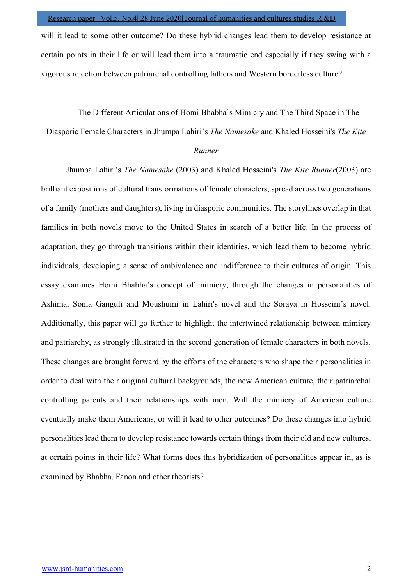will it lead to some other outcome? Do these hybrid changes lead them to develop resistance at certain points in their life or will lead them into a traumatic end especially if they swing with a vigorous rejection between patriarchal controlling fathers and Western borderless culture?

The Different Articulations of Homi Bhabha`s Mimicry and The Third Space in The

Diasporic Female Characters in Jhumpa Lahiri's The Namesake and Khaled Hosseini's The Kite

## Runner

Jhumpa Lahiri's The Namesake (2003) and Khaled Hosseini's The Kite Runner(2003) are brilliant expositions of cultural transformations of female characters, spread across two generations of a family (mothers and daughters), living in diasporic communities. The storylines overlap in that families in both novels move to the United States in search of a better life. In the process of adaptation, they go through transitions within their identities, which lead them to become hybrid individuals, developing a sense of ambivalence and indifference to their cultures of origin. This essay examines Homi Bhabha's concept of mimicry, through the changes in personalities of Ashima, Sonia Ganguli and Moushumi in Lahiri's novel and the Soraya in Hosseini's novel. Additionally, this paper will go further to highlight the intertwined relationship between mimicry and patriarchy, as strongly illustrated in the second generation of female characters in both novels. These changes are brought forward by the efforts of the characters who shape their personalities in order to deal with their original cultural backgrounds, the new American culture, their patriarchal controlling parents and their relationships with men. Will the mimicry of American culture eventually make them Americans, or will it lead to other outcomes? Do these changes into hybrid personalities lead them to develop resistance towards certain things from their old and new cultures, at certain points in their life? What forms does this hybridization of personalities appear in, as is examined by Bhabha, Fanon and other theorists?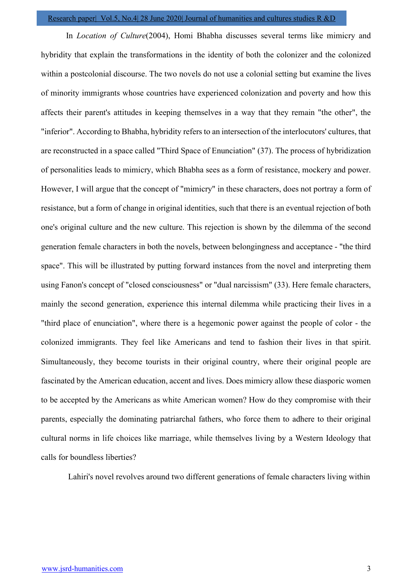In Location of Culture(2004), Homi Bhabha discusses several terms like mimicry and hybridity that explain the transformations in the identity of both the colonizer and the colonized within a postcolonial discourse. The two novels do not use a colonial setting but examine the lives of minority immigrants whose countries have experienced colonization and poverty and how this affects their parent's attitudes in keeping themselves in a way that they remain "the other", the "inferior". According to Bhabha, hybridity refers to an intersection of the interlocutors' cultures, that are reconstructed in a space called "Third Space of Enunciation" (37). The process of hybridization of personalities leads to mimicry, which Bhabha sees as a form of resistance, mockery and power. However, I will argue that the concept of "mimicry" in these characters, does not portray a form of resistance, but a form of change in original identities, such that there is an eventual rejection of both one's original culture and the new culture. This rejection is shown by the dilemma of the second generation female characters in both the novels, between belongingness and acceptance - "the third space". This will be illustrated by putting forward instances from the novel and interpreting them using Fanon's concept of "closed consciousness" or "dual narcissism" (33). Here female characters, mainly the second generation, experience this internal dilemma while practicing their lives in a "third place of enunciation", where there is a hegemonic power against the people of color - the colonized immigrants. They feel like Americans and tend to fashion their lives in that spirit. Simultaneously, they become tourists in their original country, where their original people are fascinated by the American education, accent and lives. Does mimicry allow these diasporic women to be accepted by the Americans as white American women? How do they compromise with their parents, especially the dominating patriarchal fathers, who force them to adhere to their original cultural norms in life choices like marriage, while themselves living by a Western Ideology that calls for boundless liberties?

Lahiri's novel revolves around two different generations of female characters living within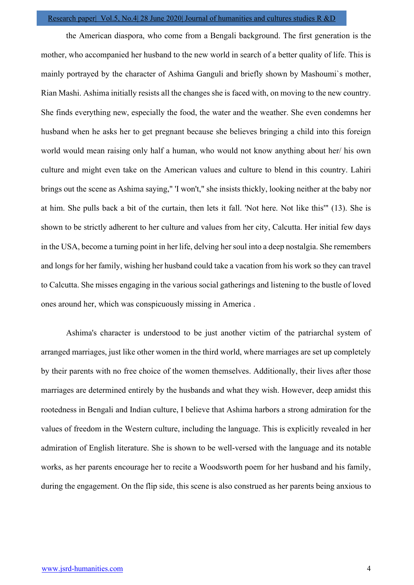the American diaspora, who come from a Bengali background. The first generation is the mother, who accompanied her husband to the new world in search of a better quality of life. This is mainly portrayed by the character of Ashima Ganguli and briefly shown by Mashoumi`s mother, Rian Mashi. Ashima initially resists all the changes she is faced with, on moving to the new country. She finds everything new, especially the food, the water and the weather. She even condemns her husband when he asks her to get pregnant because she believes bringing a child into this foreign world would mean raising only half a human, who would not know anything about her/ his own culture and might even take on the American values and culture to blend in this country. Lahiri brings out the scene as Ashima saying," 'I won't," she insists thickly, looking neither at the baby nor at him. She pulls back a bit of the curtain, then lets it fall. 'Not here. Not like this'" (13). She is shown to be strictly adherent to her culture and values from her city, Calcutta. Her initial few days in the USA, become a turning point in her life, delving her soul into a deep nostalgia. She remembers and longs for her family, wishing her husband could take a vacation from his work so they can travel to Calcutta. She misses engaging in the various social gatherings and listening to the bustle of loved ones around her, which was conspicuously missing in America .

Ashima's character is understood to be just another victim of the patriarchal system of arranged marriages, just like other women in the third world, where marriages are set up completely by their parents with no free choice of the women themselves. Additionally, their lives after those marriages are determined entirely by the husbands and what they wish. However, deep amidst this rootedness in Bengali and Indian culture, I believe that Ashima harbors a strong admiration for the values of freedom in the Western culture, including the language. This is explicitly revealed in her admiration of English literature. She is shown to be well-versed with the language and its notable works, as her parents encourage her to recite a Woodsworth poem for her husband and his family, during the engagement. On the flip side, this scene is also construed as her parents being anxious to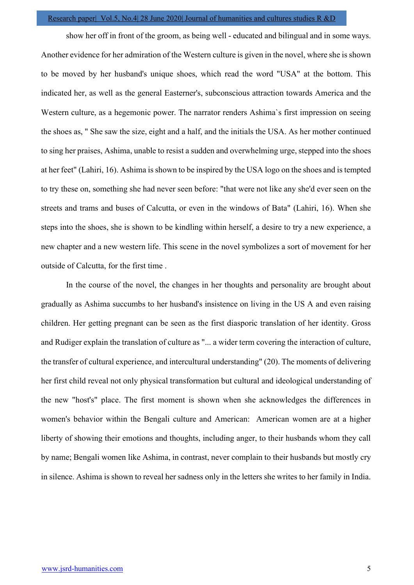show her off in front of the groom, as being well - educated and bilingual and in some ways. Another evidence for her admiration of the Western culture is given in the novel, where she is shown to be moved by her husband's unique shoes, which read the word "USA" at the bottom. This indicated her, as well as the general Easterner's, subconscious attraction towards America and the Western culture, as a hegemonic power. The narrator renders Ashima`s first impression on seeing the shoes as, " She saw the size, eight and a half, and the initials the USA. As her mother continued to sing her praises, Ashima, unable to resist a sudden and overwhelming urge, stepped into the shoes at her feet" (Lahiri, 16). Ashima is shown to be inspired by the USA logo on the shoes and is tempted to try these on, something she had never seen before: "that were not like any she'd ever seen on the streets and trams and buses of Calcutta, or even in the windows of Bata" (Lahiri, 16). When she steps into the shoes, she is shown to be kindling within herself, a desire to try a new experience, a new chapter and a new western life. This scene in the novel symbolizes a sort of movement for her outside of Calcutta, for the first time .

In the course of the novel, the changes in her thoughts and personality are brought about gradually as Ashima succumbs to her husband's insistence on living in the US A and even raising children. Her getting pregnant can be seen as the first diasporic translation of her identity. Gross and Rudiger explain the translation of culture as "... a wider term covering the interaction of culture, the transfer of cultural experience, and intercultural understanding" (20). The moments of delivering her first child reveal not only physical transformation but cultural and ideological understanding of the new "host's" place. The first moment is shown when she acknowledges the differences in women's behavior within the Bengali culture and American: American women are at a higher liberty of showing their emotions and thoughts, including anger, to their husbands whom they call by name; Bengali women like Ashima, in contrast, never complain to their husbands but mostly cry in silence. Ashima is shown to reveal her sadness only in the letters she writes to her family in India.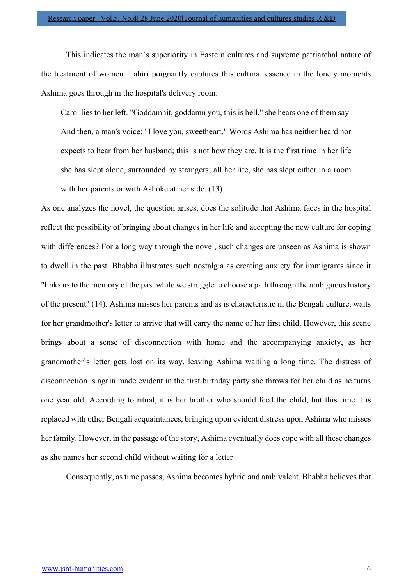This indicates the man`s superiority in Eastern cultures and supreme patriarchal nature of the treatment of women. Lahiri poignantly captures this cultural essence in the lonely moments Ashima goes through in the hospital's delivery room:

Carol lies to her left. "Goddamnit, goddamn you, this is hell," she hears one of them say. And then, a man's voice: "I love you, sweetheart." Words Ashima has neither heard nor expects to hear from her husband; this is not how they are. It is the first time in her life she has slept alone, surrounded by strangers; all her life, she has slept either in a room with her parents or with Ashoke at her side. (13)

As one analyzes the novel, the question arises, does the solitude that Ashima faces in the hospital reflect the possibility of bringing about changes in her life and accepting the new culture for coping with differences? For a long way through the novel, such changes are unseen as Ashima is shown to dwell in the past. Bhabha illustrates such nostalgia as creating anxiety for immigrants since it "links us to the memory of the past while we struggle to choose a path through the ambiguous history of the present" (14). Ashima misses her parents and as is characteristic in the Bengali culture, waits for her grandmother's letter to arrive that will carry the name of her first child. However, this scene brings about a sense of disconnection with home and the accompanying anxiety, as her grandmother`s letter gets lost on its way, leaving Ashima waiting a long time. The distress of disconnection is again made evident in the first birthday party she throws for her child as he turns one year old: According to ritual, it is her brother who should feed the child, but this time it is replaced with other Bengali acquaintances, bringing upon evident distress upon Ashima who misses her family. However, in the passage of the story, Ashima eventually does cope with all these changes as she names her second child without waiting for a letter .

Consequently, as time passes, Ashima becomes hybrid and ambivalent. Bhabha believes that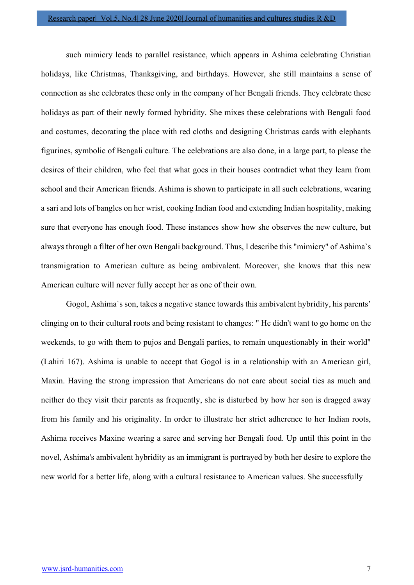such mimicry leads to parallel resistance, which appears in Ashima celebrating Christian holidays, like Christmas, Thanksgiving, and birthdays. However, she still maintains a sense of connection as she celebrates these only in the company of her Bengali friends. They celebrate these holidays as part of their newly formed hybridity. She mixes these celebrations with Bengali food and costumes, decorating the place with red cloths and designing Christmas cards with elephants figurines, symbolic of Bengali culture. The celebrations are also done, in a large part, to please the desires of their children, who feel that what goes in their houses contradict what they learn from school and their American friends. Ashima is shown to participate in all such celebrations, wearing a sari and lots of bangles on her wrist, cooking Indian food and extending Indian hospitality, making sure that everyone has enough food. These instances show how she observes the new culture, but always through a filter of her own Bengali background. Thus, I describe this "mimicry" of Ashima`s transmigration to American culture as being ambivalent. Moreover, she knows that this new American culture will never fully accept her as one of their own.

 Gogol, Ashima`s son, takes a negative stance towards this ambivalent hybridity, his parents' clinging on to their cultural roots and being resistant to changes: " He didn't want to go home on the weekends, to go with them to pujos and Bengali parties, to remain unquestionably in their world" (Lahiri 167). Ashima is unable to accept that Gogol is in a relationship with an American girl, Maxin. Having the strong impression that Americans do not care about social ties as much and neither do they visit their parents as frequently, she is disturbed by how her son is dragged away from his family and his originality. In order to illustrate her strict adherence to her Indian roots, Ashima receives Maxine wearing a saree and serving her Bengali food. Up until this point in the novel, Ashima's ambivalent hybridity as an immigrant is portrayed by both her desire to explore the new world for a better life, along with a cultural resistance to American values. She successfully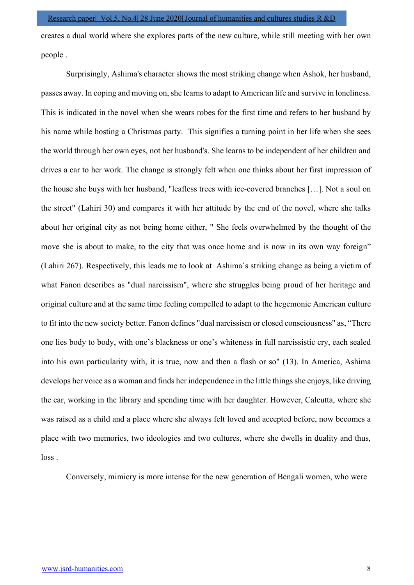creates a dual world where she explores parts of the new culture, while still meeting with her own people .

Surprisingly, Ashima's character shows the most striking change when Ashok, her husband, passes away. In coping and moving on, she learns to adapt to American life and survive in loneliness. This is indicated in the novel when she wears robes for the first time and refers to her husband by his name while hosting a Christmas party. This signifies a turning point in her life when she sees the world through her own eyes, not her husband's. She learns to be independent of her children and drives a car to her work. The change is strongly felt when one thinks about her first impression of the house she buys with her husband, "leafless trees with ice-covered branches […]. Not a soul on the street" (Lahiri 30) and compares it with her attitude by the end of the novel, where she talks about her original city as not being home either, " She feels overwhelmed by the thought of the move she is about to make, to the city that was once home and is now in its own way foreign" (Lahiri 267). Respectively, this leads me to look at Ashima`s striking change as being a victim of what Fanon describes as "dual narcissism", where she struggles being proud of her heritage and original culture and at the same time feeling compelled to adapt to the hegemonic American culture to fit into the new society better. Fanon defines "dual narcissism or closed consciousness" as, "There one lies body to body, with one's blackness or one's whiteness in full narcissistic cry, each sealed into his own particularity with, it is true, now and then a flash or so" (13). In America, Ashima develops her voice as a woman and finds her independence in the little things she enjoys, like driving the car, working in the library and spending time with her daughter. However, Calcutta, where she was raised as a child and a place where she always felt loved and accepted before, now becomes a place with two memories, two ideologies and two cultures, where she dwells in duality and thus, loss .

Conversely, mimicry is more intense for the new generation of Bengali women, who were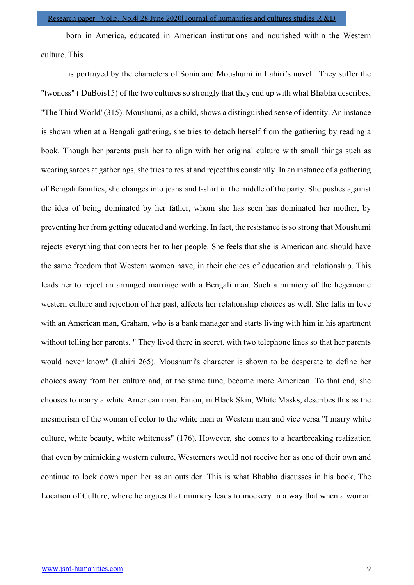born in America, educated in American institutions and nourished within the Western culture. This

 is portrayed by the characters of Sonia and Moushumi in Lahiri's novel. They suffer the "twoness" ( DuBois15) of the two cultures so strongly that they end up with what Bhabha describes, "The Third World"(315). Moushumi, as a child, shows a distinguished sense of identity. An instance is shown when at a Bengali gathering, she tries to detach herself from the gathering by reading a book. Though her parents push her to align with her original culture with small things such as wearing sarees at gatherings, she tries to resist and reject this constantly. In an instance of a gathering of Bengali families, she changes into jeans and t-shirt in the middle of the party. She pushes against the idea of being dominated by her father, whom she has seen has dominated her mother, by preventing her from getting educated and working. In fact, the resistance is so strong that Moushumi rejects everything that connects her to her people. She feels that she is American and should have the same freedom that Western women have, in their choices of education and relationship. This leads her to reject an arranged marriage with a Bengali man. Such a mimicry of the hegemonic western culture and rejection of her past, affects her relationship choices as well. She falls in love with an American man, Graham, who is a bank manager and starts living with him in his apartment without telling her parents, " They lived there in secret, with two telephone lines so that her parents would never know" (Lahiri 265). Moushumi's character is shown to be desperate to define her choices away from her culture and, at the same time, become more American. To that end, she chooses to marry a white American man. Fanon, in Black Skin, White Masks, describes this as the mesmerism of the woman of color to the white man or Western man and vice versa "I marry white culture, white beauty, white whiteness" (176). However, she comes to a heartbreaking realization that even by mimicking western culture, Westerners would not receive her as one of their own and continue to look down upon her as an outsider. This is what Bhabha discusses in his book, The Location of Culture, where he argues that mimicry leads to mockery in a way that when a woman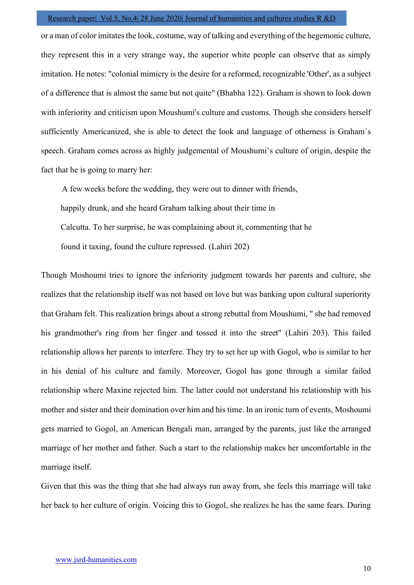or a man of color imitates the look, costume, way of talking and everything of the hegemonic culture, they represent this in a very strange way, the superior white people can observe that as simply imitation. He notes: "colonial mimicry is the desire for a reformed, recognizable 'Other', as a subject of a difference that is almost the same but not quite" (Bhabha 122). Graham is shown to look down with inferiority and criticism upon Moushumi's culture and customs. Though she considers herself sufficiently Americanized, she is able to detect the look and language of otherness is Graham`s speech. Graham comes across as highly judgemental of Moushumi's culture of origin, despite the fact that he is going to marry her:

 A few weeks before the wedding, they were out to dinner with friends, happily drunk, and she heard Graham talking about their time in Calcutta. To her surprise, he was complaining about it, commenting that he found it taxing, found the culture repressed. (Lahiri 202)

Though Moshoumi tries to ignore the inferiority judgment towards her parents and culture, she realizes that the relationship itself was not based on love but was banking upon cultural superiority that Graham felt. This realization brings about a strong rebuttal from Moushumi, " she had removed his grandmother's ring from her finger and tossed it into the street" (Lahiri 203). This failed relationship allows her parents to interfere. They try to set her up with Gogol, who is similar to her in his denial of his culture and family. Moreover, Gogol has gone through a similar failed relationship where Maxine rejected him. The latter could not understand his relationship with his mother and sister and their domination over him and his time. In an ironic turn of events, Moshoumi gets married to Gogol, an American Bengali man, arranged by the parents, just like the arranged marriage of her mother and father. Such a start to the relationship makes her uncomfortable in the marriage itself.

Given that this was the thing that she had always run away from, she feels this marriage will take her back to her culture of origin. Voicing this to Gogol, she realizes he has the same fears. During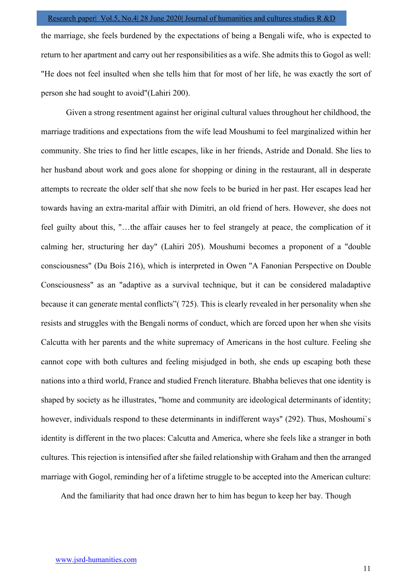the marriage, she feels burdened by the expectations of being a Bengali wife, who is expected to return to her apartment and carry out her responsibilities as a wife. She admits this to Gogol as well: "He does not feel insulted when she tells him that for most of her life, he was exactly the sort of person she had sought to avoid"(Lahiri 200).

Given a strong resentment against her original cultural values throughout her childhood, the marriage traditions and expectations from the wife lead Moushumi to feel marginalized within her community. She tries to find her little escapes, like in her friends, Astride and Donald. She lies to her husband about work and goes alone for shopping or dining in the restaurant, all in desperate attempts to recreate the older self that she now feels to be buried in her past. Her escapes lead her towards having an extra-marital affair with Dimitri, an old friend of hers. However, she does not feel guilty about this, "…the affair causes her to feel strangely at peace, the complication of it calming her, structuring her day" (Lahiri 205). Moushumi becomes a proponent of a "double consciousness" (Du Bois 216), which is interpreted in Owen "A Fanonian Perspective on Double Consciousness" as an "adaptive as a survival technique, but it can be considered maladaptive because it can generate mental conflicts"( 725). This is clearly revealed in her personality when she resists and struggles with the Bengali norms of conduct, which are forced upon her when she visits Calcutta with her parents and the white supremacy of Americans in the host culture. Feeling she cannot cope with both cultures and feeling misjudged in both, she ends up escaping both these nations into a third world, France and studied French literature. Bhabha believes that one identity is shaped by society as he illustrates, "home and community are ideological determinants of identity; however, individuals respond to these determinants in indifferent ways" (292). Thus, Moshoumi`s identity is different in the two places: Calcutta and America, where she feels like a stranger in both cultures. This rejection is intensified after she failed relationship with Graham and then the arranged marriage with Gogol, reminding her of a lifetime struggle to be accepted into the American culture:

And the familiarity that had once drawn her to him has begun to keep her bay. Though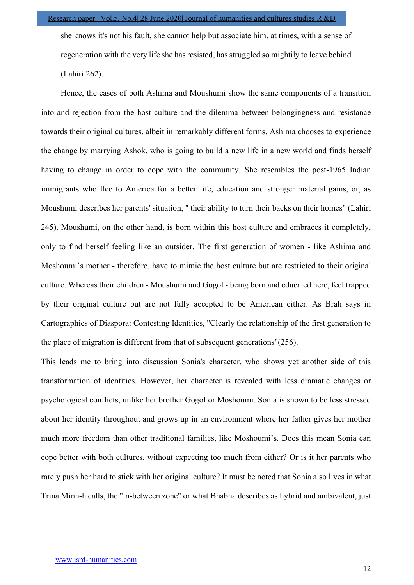she knows it's not his fault, she cannot help but associate him, at times, with a sense of regeneration with the very life she has resisted, has struggled so mightily to leave behind (Lahiri 262).

Hence, the cases of both Ashima and Moushumi show the same components of a transition into and rejection from the host culture and the dilemma between belongingness and resistance towards their original cultures, albeit in remarkably different forms. Ashima chooses to experience the change by marrying Ashok, who is going to build a new life in a new world and finds herself having to change in order to cope with the community. She resembles the post-1965 Indian immigrants who flee to America for a better life, education and stronger material gains, or, as Moushumi describes her parents' situation, " their ability to turn their backs on their homes" (Lahiri 245). Moushumi, on the other hand, is born within this host culture and embraces it completely, only to find herself feeling like an outsider. The first generation of women - like Ashima and Moshoumi`s mother - therefore, have to mimic the host culture but are restricted to their original culture. Whereas their children - Moushumi and Gogol - being born and educated here, feel trapped by their original culture but are not fully accepted to be American either. As Brah says in Cartographies of Diaspora: Contesting Identities, "Clearly the relationship of the first generation to the place of migration is different from that of subsequent generations"(256).

This leads me to bring into discussion Sonia's character, who shows yet another side of this transformation of identities. However, her character is revealed with less dramatic changes or psychological conflicts, unlike her brother Gogol or Moshoumi. Sonia is shown to be less stressed about her identity throughout and grows up in an environment where her father gives her mother much more freedom than other traditional families, like Moshoumi's. Does this mean Sonia can cope better with both cultures, without expecting too much from either? Or is it her parents who rarely push her hard to stick with her original culture? It must be noted that Sonia also lives in what Trina Minh-h calls, the "in-between zone" or what Bhabha describes as hybrid and ambivalent, just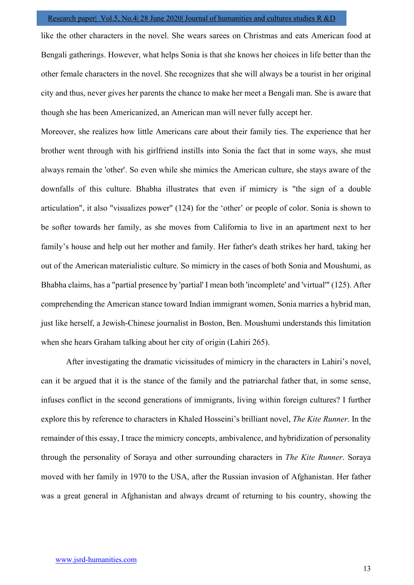like the other characters in the novel. She wears sarees on Christmas and eats American food at Bengali gatherings. However, what helps Sonia is that she knows her choices in life better than the other female characters in the novel. She recognizes that she will always be a tourist in her original city and thus, never gives her parents the chance to make her meet a Bengali man. She is aware that though she has been Americanized, an American man will never fully accept her.

Moreover, she realizes how little Americans care about their family ties. The experience that her brother went through with his girlfriend instills into Sonia the fact that in some ways, she must always remain the 'other'. So even while she mimics the American culture, she stays aware of the downfalls of this culture. Bhabha illustrates that even if mimicry is "the sign of a double articulation", it also "visualizes power" (124) for the 'other' or people of color. Sonia is shown to be softer towards her family, as she moves from California to live in an apartment next to her family's house and help out her mother and family. Her father's death strikes her hard, taking her out of the American materialistic culture. So mimicry in the cases of both Sonia and Moushumi, as Bhabha claims, has a "partial presence by 'partial' I mean both 'incomplete' and 'virtual'" (125). After comprehending the American stance toward Indian immigrant women, Sonia marries a hybrid man, just like herself, a Jewish-Chinese journalist in Boston, Ben. Moushumi understands this limitation when she hears Graham talking about her city of origin (Lahiri 265).

After investigating the dramatic vicissitudes of mimicry in the characters in Lahiri's novel, can it be argued that it is the stance of the family and the patriarchal father that, in some sense, infuses conflict in the second generations of immigrants, living within foreign cultures? I further explore this by reference to characters in Khaled Hosseini's brilliant novel, *The Kite Runner*. In the remainder of this essay, I trace the mimicry concepts, ambivalence, and hybridization of personality through the personality of Soraya and other surrounding characters in The Kite Runner. Soraya moved with her family in 1970 to the USA, after the Russian invasion of Afghanistan. Her father was a great general in Afghanistan and always dreamt of returning to his country, showing the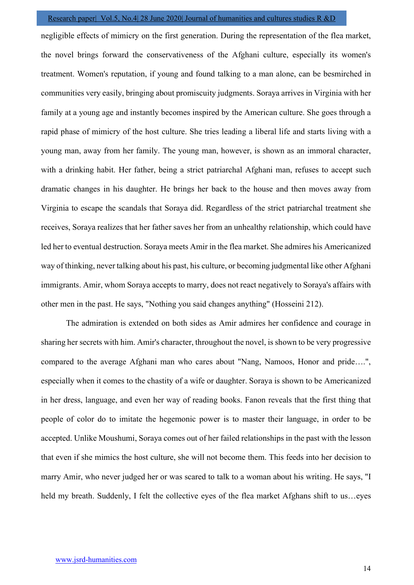negligible effects of mimicry on the first generation. During the representation of the flea market, the novel brings forward the conservativeness of the Afghani culture, especially its women's treatment. Women's reputation, if young and found talking to a man alone, can be besmirched in communities very easily, bringing about promiscuity judgments. Soraya arrives in Virginia with her family at a young age and instantly becomes inspired by the American culture. She goes through a rapid phase of mimicry of the host culture. She tries leading a liberal life and starts living with a young man, away from her family. The young man, however, is shown as an immoral character, with a drinking habit. Her father, being a strict patriarchal Afghani man, refuses to accept such dramatic changes in his daughter. He brings her back to the house and then moves away from Virginia to escape the scandals that Soraya did. Regardless of the strict patriarchal treatment she receives, Soraya realizes that her father saves her from an unhealthy relationship, which could have led her to eventual destruction. Soraya meets Amir in the flea market. She admires his Americanized way of thinking, never talking about his past, his culture, or becoming judgmental like other Afghani immigrants. Amir, whom Soraya accepts to marry, does not react negatively to Soraya's affairs with other men in the past. He says, "Nothing you said changes anything" (Hosseini 212).

The admiration is extended on both sides as Amir admires her confidence and courage in sharing her secrets with him. Amir's character, throughout the novel, is shown to be very progressive compared to the average Afghani man who cares about "Nang, Namoos, Honor and pride….", especially when it comes to the chastity of a wife or daughter. Soraya is shown to be Americanized in her dress, language, and even her way of reading books. Fanon reveals that the first thing that people of color do to imitate the hegemonic power is to master their language, in order to be accepted. Unlike Moushumi, Soraya comes out of her failed relationships in the past with the lesson that even if she mimics the host culture, she will not become them. This feeds into her decision to marry Amir, who never judged her or was scared to talk to a woman about his writing. He says, "I held my breath. Suddenly, I felt the collective eyes of the flea market Afghans shift to us...eyes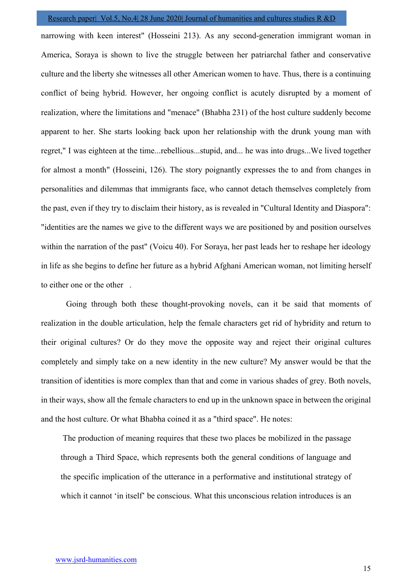narrowing with keen interest" (Hosseini 213). As any second-generation immigrant woman in America, Soraya is shown to live the struggle between her patriarchal father and conservative culture and the liberty she witnesses all other American women to have. Thus, there is a continuing conflict of being hybrid. However, her ongoing conflict is acutely disrupted by a moment of realization, where the limitations and "menace" (Bhabha 231) of the host culture suddenly become apparent to her. She starts looking back upon her relationship with the drunk young man with regret," I was eighteen at the time...rebellious...stupid, and... he was into drugs...We lived together for almost a month" (Hosseini, 126). The story poignantly expresses the to and from changes in personalities and dilemmas that immigrants face, who cannot detach themselves completely from the past, even if they try to disclaim their history, as is revealed in "Cultural Identity and Diaspora": "identities are the names we give to the different ways we are positioned by and position ourselves within the narration of the past" (Voicu 40). For Soraya, her past leads her to reshape her ideology in life as she begins to define her future as a hybrid Afghani American woman, not limiting herself to either one or the other .

Going through both these thought-provoking novels, can it be said that moments of realization in the double articulation, help the female characters get rid of hybridity and return to their original cultures? Or do they move the opposite way and reject their original cultures completely and simply take on a new identity in the new culture? My answer would be that the transition of identities is more complex than that and come in various shades of grey. Both novels, in their ways, show all the female characters to end up in the unknown space in between the original and the host culture. Or what Bhabha coined it as a "third space". He notes:

The production of meaning requires that these two places be mobilized in the passage through a Third Space, which represents both the general conditions of language and the specific implication of the utterance in a performative and institutional strategy of which it cannot 'in itself' be conscious. What this unconscious relation introduces is an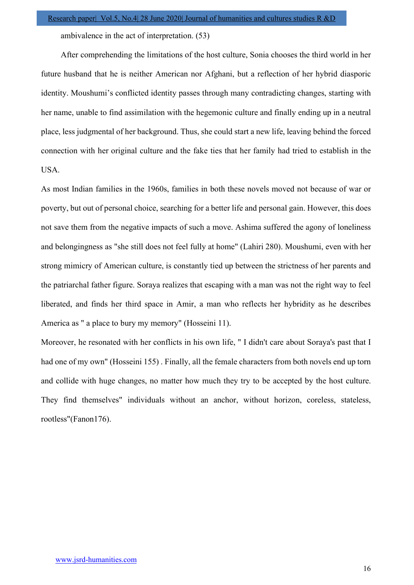ambivalence in the act of interpretation. (53)

After comprehending the limitations of the host culture, Sonia chooses the third world in her future husband that he is neither American nor Afghani, but a reflection of her hybrid diasporic identity. Moushumi's conflicted identity passes through many contradicting changes, starting with her name, unable to find assimilation with the hegemonic culture and finally ending up in a neutral place, less judgmental of her background. Thus, she could start a new life, leaving behind the forced connection with her original culture and the fake ties that her family had tried to establish in the USA.

As most Indian families in the 1960s, families in both these novels moved not because of war or poverty, but out of personal choice, searching for a better life and personal gain. However, this does not save them from the negative impacts of such a move. Ashima suffered the agony of loneliness and belongingness as "she still does not feel fully at home" (Lahiri 280). Moushumi, even with her strong mimicry of American culture, is constantly tied up between the strictness of her parents and the patriarchal father figure. Soraya realizes that escaping with a man was not the right way to feel liberated, and finds her third space in Amir, a man who reflects her hybridity as he describes America as " a place to bury my memory" (Hosseini 11).

Moreover, he resonated with her conflicts in his own life, " I didn't care about Soraya's past that I had one of my own" (Hosseini 155) . Finally, all the female characters from both novels end up torn and collide with huge changes, no matter how much they try to be accepted by the host culture. They find themselves" individuals without an anchor, without horizon, coreless, stateless, rootless"(Fanon176).